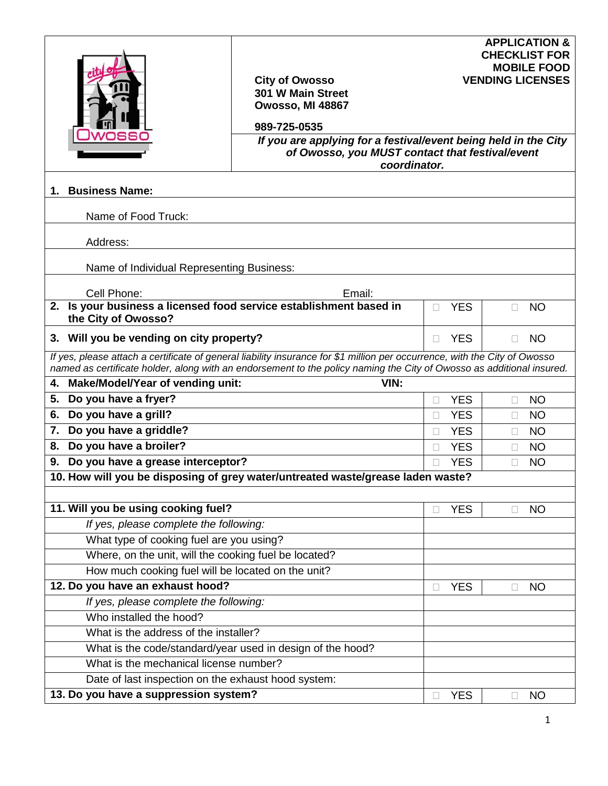| ssc                                                                                       | <b>City of Owosso</b><br>301 W Main Street<br>Owosso, MI 48867<br>989-725-0535<br>If you are applying for a festival/event being held in the City<br>of Owosso, you MUST contact that festival/event<br>coordinator.                                        |   |            |              | <b>APPLICATION &amp;</b><br><b>CHECKLIST FOR</b><br><b>MOBILE FOOD</b><br><b>VENDING LICENSES</b> |
|-------------------------------------------------------------------------------------------|-------------------------------------------------------------------------------------------------------------------------------------------------------------------------------------------------------------------------------------------------------------|---|------------|--------------|---------------------------------------------------------------------------------------------------|
| <b>Business Name:</b><br>1.                                                               |                                                                                                                                                                                                                                                             |   |            |              |                                                                                                   |
| Name of Food Truck:                                                                       |                                                                                                                                                                                                                                                             |   |            |              |                                                                                                   |
| Address:                                                                                  |                                                                                                                                                                                                                                                             |   |            |              |                                                                                                   |
|                                                                                           |                                                                                                                                                                                                                                                             |   |            |              |                                                                                                   |
| Name of Individual Representing Business:                                                 |                                                                                                                                                                                                                                                             |   |            |              |                                                                                                   |
| Cell Phone:                                                                               | Email:                                                                                                                                                                                                                                                      |   |            |              |                                                                                                   |
| 2. Is your business a licensed food service establishment based in<br>the City of Owosso? |                                                                                                                                                                                                                                                             |   | <b>YES</b> |              | <b>NO</b>                                                                                         |
| 3. Will you be vending on city property?                                                  |                                                                                                                                                                                                                                                             | П | <b>YES</b> | $\Box$       | <b>NO</b>                                                                                         |
| <b>Make/Model/Year of vending unit:</b><br>4.                                             | If yes, please attach a certificate of general liability insurance for \$1 million per occurrence, with the City of Owosso<br>named as certificate holder, along with an endorsement to the policy naming the City of Owosso as additional insured.<br>VIN: |   |            |              |                                                                                                   |
| Do you have a fryer?<br>5.                                                                |                                                                                                                                                                                                                                                             |   | <b>YES</b> | П            | <b>NO</b>                                                                                         |
| Do you have a grill?<br>6.                                                                |                                                                                                                                                                                                                                                             | П | <b>YES</b> | П            | <b>NO</b>                                                                                         |
| Do you have a griddle?<br>7.                                                              |                                                                                                                                                                                                                                                             |   | <b>YES</b> | $\Box$       | <b>NO</b>                                                                                         |
| Do you have a broiler?<br>8.                                                              |                                                                                                                                                                                                                                                             |   | <b>YES</b> | П            | <b>NO</b>                                                                                         |
| Do you have a grease interceptor?<br>9.                                                   |                                                                                                                                                                                                                                                             | П | <b>YES</b> | П            | <b>NO</b>                                                                                         |
| 10. How will you be disposing of grey water/untreated waste/grease laden waste?           |                                                                                                                                                                                                                                                             |   |            |              |                                                                                                   |
|                                                                                           |                                                                                                                                                                                                                                                             |   |            |              |                                                                                                   |
| 11. Will you be using cooking fuel?                                                       |                                                                                                                                                                                                                                                             |   | <b>YES</b> | $\Box$       | <b>NO</b>                                                                                         |
| If yes, please complete the following:                                                    |                                                                                                                                                                                                                                                             |   |            |              |                                                                                                   |
| What type of cooking fuel are you using?                                                  |                                                                                                                                                                                                                                                             |   |            |              |                                                                                                   |
| Where, on the unit, will the cooking fuel be located?                                     |                                                                                                                                                                                                                                                             |   |            |              |                                                                                                   |
| How much cooking fuel will be located on the unit?                                        |                                                                                                                                                                                                                                                             |   |            |              |                                                                                                   |
| 12. Do you have an exhaust hood?                                                          |                                                                                                                                                                                                                                                             |   | <b>YES</b> | $\Box$       | <b>NO</b>                                                                                         |
| If yes, please complete the following:                                                    |                                                                                                                                                                                                                                                             |   |            |              |                                                                                                   |
| Who installed the hood?                                                                   |                                                                                                                                                                                                                                                             |   |            |              |                                                                                                   |
| What is the address of the installer?                                                     |                                                                                                                                                                                                                                                             |   |            |              |                                                                                                   |
| What is the code/standard/year used in design of the hood?                                |                                                                                                                                                                                                                                                             |   |            |              |                                                                                                   |
| What is the mechanical license number?                                                    |                                                                                                                                                                                                                                                             |   |            |              |                                                                                                   |
| Date of last inspection on the exhaust hood system:                                       |                                                                                                                                                                                                                                                             |   | <b>YES</b> |              |                                                                                                   |
| 13. Do you have a suppression system?                                                     |                                                                                                                                                                                                                                                             |   |            | $\mathbf{L}$ | <b>NO</b>                                                                                         |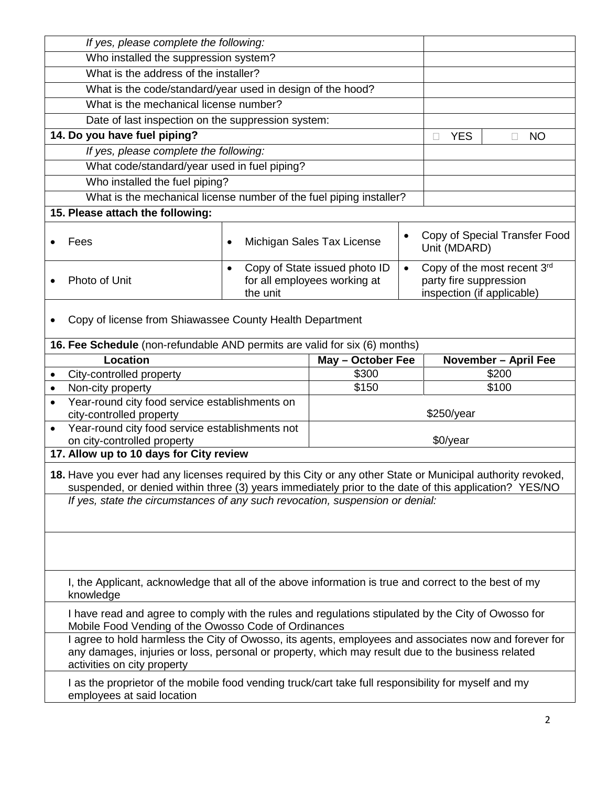|                                                                                                                                                                                                                                           | If yes, please complete the following:                                                              |                   |            |                                                                                     |                             |  |
|-------------------------------------------------------------------------------------------------------------------------------------------------------------------------------------------------------------------------------------------|-----------------------------------------------------------------------------------------------------|-------------------|------------|-------------------------------------------------------------------------------------|-----------------------------|--|
| Who installed the suppression system?                                                                                                                                                                                                     |                                                                                                     |                   |            |                                                                                     |                             |  |
| What is the address of the installer?                                                                                                                                                                                                     |                                                                                                     |                   |            |                                                                                     |                             |  |
| What is the code/standard/year used in design of the hood?                                                                                                                                                                                |                                                                                                     |                   |            |                                                                                     |                             |  |
| What is the mechanical license number?                                                                                                                                                                                                    |                                                                                                     |                   |            |                                                                                     |                             |  |
| Date of last inspection on the suppression system:                                                                                                                                                                                        |                                                                                                     |                   |            |                                                                                     |                             |  |
| 14. Do you have fuel piping?                                                                                                                                                                                                              |                                                                                                     |                   |            | <b>YES</b><br>П                                                                     | <b>NO</b><br>П              |  |
| If yes, please complete the following:                                                                                                                                                                                                    |                                                                                                     |                   |            |                                                                                     |                             |  |
|                                                                                                                                                                                                                                           | What code/standard/year used in fuel piping?                                                        |                   |            |                                                                                     |                             |  |
| Who installed the fuel piping?                                                                                                                                                                                                            |                                                                                                     |                   |            |                                                                                     |                             |  |
| What is the mechanical license number of the fuel piping installer?                                                                                                                                                                       |                                                                                                     |                   |            |                                                                                     |                             |  |
| 15. Please attach the following:                                                                                                                                                                                                          |                                                                                                     |                   |            |                                                                                     |                             |  |
| Fees                                                                                                                                                                                                                                      | Michigan Sales Tax License<br>$\bullet$                                                             |                   |            | Copy of Special Transfer Food<br>Unit (MDARD)                                       |                             |  |
| Photo of Unit                                                                                                                                                                                                                             | Copy of State issued photo ID<br>$\bullet$<br>$\bullet$<br>for all employees working at<br>the unit |                   |            | Copy of the most recent 3rd<br>party fire suppression<br>inspection (if applicable) |                             |  |
| Copy of license from Shiawassee County Health Department                                                                                                                                                                                  |                                                                                                     |                   |            |                                                                                     |                             |  |
| 16. Fee Schedule (non-refundable AND permits are valid for six (6) months)                                                                                                                                                                |                                                                                                     |                   |            |                                                                                     |                             |  |
| <b>Location</b>                                                                                                                                                                                                                           |                                                                                                     | May - October Fee |            |                                                                                     | <b>November - April Fee</b> |  |
| City-controlled property<br>٠                                                                                                                                                                                                             |                                                                                                     | \$300             |            | \$200                                                                               |                             |  |
| Non-city property<br>٠                                                                                                                                                                                                                    |                                                                                                     | \$100<br>\$150    |            |                                                                                     |                             |  |
| Year-round city food service establishments on<br>$\bullet$<br>city-controlled property                                                                                                                                                   |                                                                                                     |                   | \$250/year |                                                                                     |                             |  |
| Year-round city food service establishments not<br>$\bullet$                                                                                                                                                                              |                                                                                                     |                   |            |                                                                                     |                             |  |
| on city-controlled property                                                                                                                                                                                                               |                                                                                                     | \$0/year          |            |                                                                                     |                             |  |
| 17. Allow up to 10 days for City review                                                                                                                                                                                                   |                                                                                                     |                   |            |                                                                                     |                             |  |
| 18. Have you ever had any licenses required by this City or any other State or Municipal authority revoked,<br>suspended, or denied within three (3) years immediately prior to the date of this application? YES/NO                      |                                                                                                     |                   |            |                                                                                     |                             |  |
| If yes, state the circumstances of any such revocation, suspension or denial:                                                                                                                                                             |                                                                                                     |                   |            |                                                                                     |                             |  |
|                                                                                                                                                                                                                                           |                                                                                                     |                   |            |                                                                                     |                             |  |
| I, the Applicant, acknowledge that all of the above information is true and correct to the best of my<br>knowledge                                                                                                                        |                                                                                                     |                   |            |                                                                                     |                             |  |
| I have read and agree to comply with the rules and regulations stipulated by the City of Owosso for<br>Mobile Food Vending of the Owosso Code of Ordinances                                                                               |                                                                                                     |                   |            |                                                                                     |                             |  |
| I agree to hold harmless the City of Owosso, its agents, employees and associates now and forever for<br>any damages, injuries or loss, personal or property, which may result due to the business related<br>activities on city property |                                                                                                     |                   |            |                                                                                     |                             |  |
| I as the proprietor of the mobile food vending truck/cart take full responsibility for myself and my<br>employees at said location                                                                                                        |                                                                                                     |                   |            |                                                                                     |                             |  |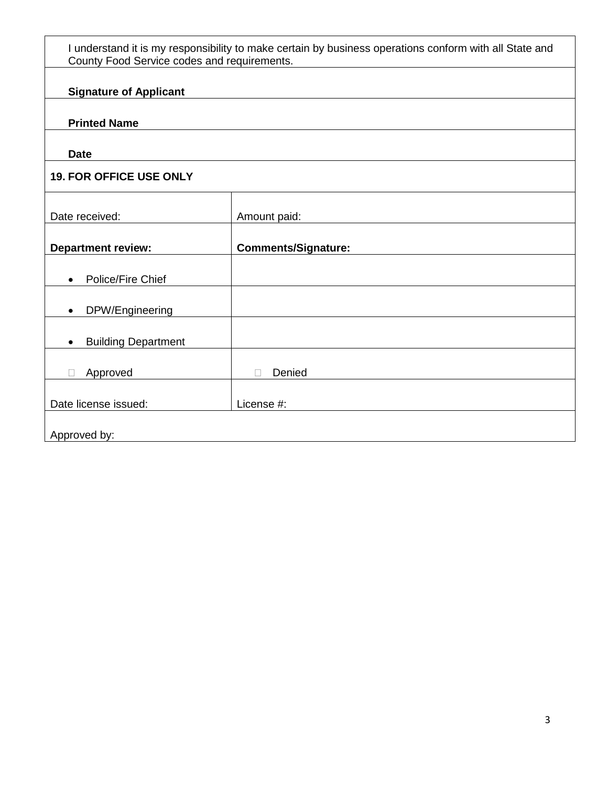| I understand it is my responsibility to make certain by business operations conform with all State and<br>County Food Service codes and requirements. |                            |  |  |  |  |
|-------------------------------------------------------------------------------------------------------------------------------------------------------|----------------------------|--|--|--|--|
| <b>Signature of Applicant</b>                                                                                                                         |                            |  |  |  |  |
| <b>Printed Name</b>                                                                                                                                   |                            |  |  |  |  |
| <b>Date</b>                                                                                                                                           |                            |  |  |  |  |
| <b>19. FOR OFFICE USE ONLY</b>                                                                                                                        |                            |  |  |  |  |
| Date received:                                                                                                                                        | Amount paid:               |  |  |  |  |
| <b>Department review:</b>                                                                                                                             | <b>Comments/Signature:</b> |  |  |  |  |
| Police/Fire Chief<br>$\bullet$                                                                                                                        |                            |  |  |  |  |
| DPW/Engineering<br>$\bullet$                                                                                                                          |                            |  |  |  |  |
| <b>Building Department</b><br>$\bullet$                                                                                                               |                            |  |  |  |  |
| Approved                                                                                                                                              | Denied                     |  |  |  |  |
| Date license issued:                                                                                                                                  | License #:                 |  |  |  |  |
| Approved by:                                                                                                                                          |                            |  |  |  |  |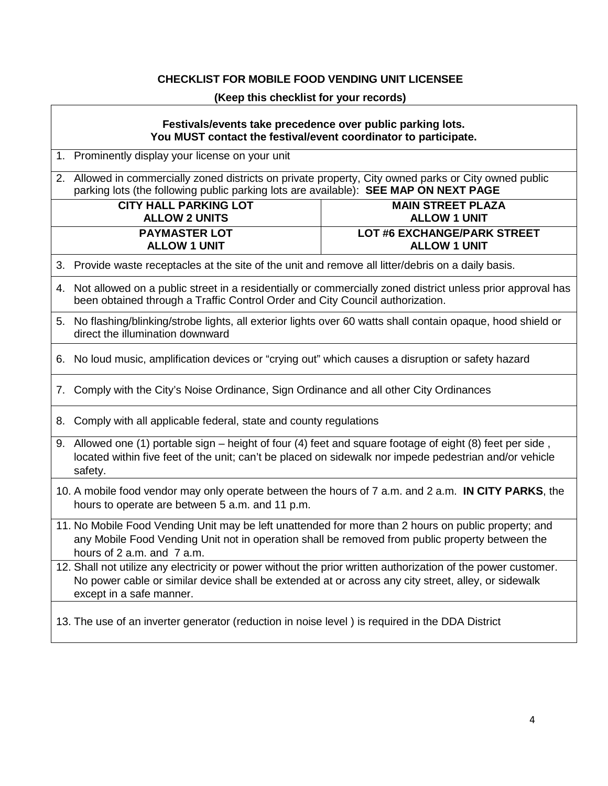## **CHECKLIST FOR MOBILE FOOD VENDING UNIT LICENSEE**

## **(Keep this checklist for your records)**

| Festivals/events take precedence over public parking lots.<br>You MUST contact the festival/event coordinator to participate.                                                                                                                    |                                                           |  |  |  |
|--------------------------------------------------------------------------------------------------------------------------------------------------------------------------------------------------------------------------------------------------|-----------------------------------------------------------|--|--|--|
| 1. Prominently display your license on your unit                                                                                                                                                                                                 |                                                           |  |  |  |
| 2. Allowed in commercially zoned districts on private property, City owned parks or City owned public<br>parking lots (the following public parking lots are available): SEE MAP ON NEXT PAGE                                                    |                                                           |  |  |  |
| <b>CITY HALL PARKING LOT</b><br><b>ALLOW 2 UNITS</b>                                                                                                                                                                                             | <b>MAIN STREET PLAZA</b><br><b>ALLOW 1 UNIT</b>           |  |  |  |
| <b>PAYMASTER LOT</b><br><b>ALLOW 1 UNIT</b>                                                                                                                                                                                                      | <b>LOT #6 EXCHANGE/PARK STREET</b><br><b>ALLOW 1 UNIT</b> |  |  |  |
| 3. Provide waste receptacles at the site of the unit and remove all litter/debris on a daily basis.                                                                                                                                              |                                                           |  |  |  |
| 4. Not allowed on a public street in a residentially or commercially zoned district unless prior approval has<br>been obtained through a Traffic Control Order and City Council authorization.                                                   |                                                           |  |  |  |
| 5. No flashing/blinking/strobe lights, all exterior lights over 60 watts shall contain opaque, hood shield or<br>direct the illumination downward                                                                                                |                                                           |  |  |  |
| 6. No loud music, amplification devices or "crying out" which causes a disruption or safety hazard                                                                                                                                               |                                                           |  |  |  |
| 7. Comply with the City's Noise Ordinance, Sign Ordinance and all other City Ordinances                                                                                                                                                          |                                                           |  |  |  |
| 8. Comply with all applicable federal, state and county regulations                                                                                                                                                                              |                                                           |  |  |  |
| 9. Allowed one (1) portable sign – height of four (4) feet and square footage of eight (8) feet per side,<br>located within five feet of the unit; can't be placed on sidewalk nor impede pedestrian and/or vehicle<br>safety.                   |                                                           |  |  |  |
| 10. A mobile food vendor may only operate between the hours of 7 a.m. and 2 a.m. IN CITY PARKS, the<br>hours to operate are between 5 a.m. and 11 p.m.                                                                                           |                                                           |  |  |  |
| 11. No Mobile Food Vending Unit may be left unattended for more than 2 hours on public property; and<br>any Mobile Food Vending Unit not in operation shall be removed from public property between the<br>hours of 2 a.m. and 7 a.m.            |                                                           |  |  |  |
| 12. Shall not utilize any electricity or power without the prior written authorization of the power customer.<br>No power cable or similar device shall be extended at or across any city street, alley, or sidewalk<br>except in a safe manner. |                                                           |  |  |  |
| 13. The use of an inverter generator (reduction in noise level) is required in the DDA District                                                                                                                                                  |                                                           |  |  |  |

٦